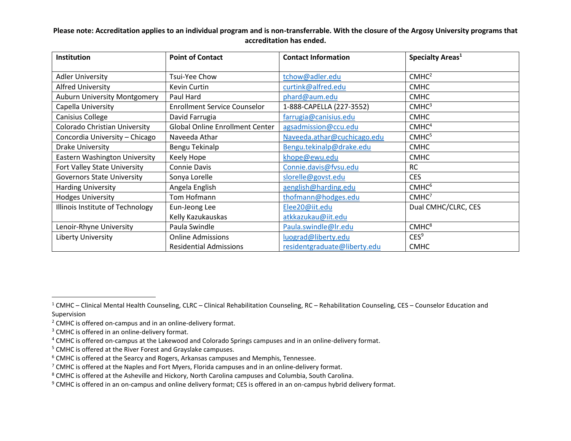| Institution                         | <b>Point of Contact</b>                | <b>Contact Information</b>   | Specialty Areas <sup>1</sup> |
|-------------------------------------|----------------------------------------|------------------------------|------------------------------|
| <b>Adler University</b>             | Tsui-Yee Chow                          | tchow@adler.edu              | CMHC <sup>2</sup>            |
| <b>Alfred University</b>            | Kevin Curtin                           | curtink@alfred.edu           | <b>CMHC</b>                  |
| <b>Auburn University Montgomery</b> | Paul Hard                              | phard@aum.edu                | <b>CMHC</b>                  |
| Capella University                  | <b>Enrollment Service Counselor</b>    | 1-888-CAPELLA (227-3552)     | CMHC <sup>3</sup>            |
| Canisius College                    | David Farrugia                         | farrugia@canisius.edu        | <b>CMHC</b>                  |
| Colorado Christian University       | <b>Global Online Enrollment Center</b> | agsadmission@ccu.edu         | CMHC <sup>4</sup>            |
| Concordia University – Chicago      | Naveeda Athar                          | Naveeda.athar@cuchicago.edu  | CMHC <sup>5</sup>            |
| Drake University                    | Bengu Tekinalp                         | Bengu.tekinalp@drake.edu     | <b>CMHC</b>                  |
| Eastern Washington University       | Keely Hope                             | khope@ewu.edu                | <b>CMHC</b>                  |
| Fort Valley State University        | <b>Connie Davis</b>                    | Connie.davis@fvsu.edu        | <b>RC</b>                    |
| <b>Governors State University</b>   | Sonya Lorelle                          | slorelle@govst.edu           | <b>CES</b>                   |
| <b>Harding University</b>           | Angela English                         | aenglish@harding.edu         | CMHC <sup>6</sup>            |
| <b>Hodges University</b>            | Tom Hofmann                            | thofmann@hodges.edu          | CMHC <sup>7</sup>            |
| Illinois Institute of Technology    | Eun-Jeong Lee                          | Elee20@iit.edu               | Dual CMHC/CLRC, CES          |
|                                     | Kelly Kazukauskas                      | atkkazukau@iit.edu           |                              |
| Lenoir-Rhyne University             | Paula Swindle                          | Paula.swindle@Ir.edu         | CMHC <sup>8</sup>            |
| <b>Liberty University</b>           | <b>Online Admissions</b>               | luograd@liberty.edu          | CES <sup>9</sup>             |
|                                     | <b>Residential Admissions</b>          | residentgraduate@liberty.edu | <b>CMHC</b>                  |

 $\overline{a}$ 

 $1$  CMHC – Clinical Mental Health Counseling, CLRC – Clinical Rehabilitation Counseling, RC – Rehabilitation Counseling, CES – Counselor Education and Supervision

<sup>2</sup> CMHC is offered on-campus and in an online-delivery format.

<sup>&</sup>lt;sup>3</sup> CMHC is offered in an online-delivery format.

<sup>4</sup> CMHC is offered on-campus at the Lakewood and Colorado Springs campuses and in an online-delivery format.

<sup>5</sup> CMHC is offered at the River Forest and Grayslake campuses.

 $6$  CMHC is offered at the Searcy and Rogers, Arkansas campuses and Memphis, Tennessee.

<sup>&</sup>lt;sup>7</sup> CMHC is offered at the Naples and Fort Myers, Florida campuses and in an online-delivery format.

<sup>8</sup> CMHC is offered at the Asheville and Hickory, North Carolina campuses and Columbia, South Carolina.

<sup>9</sup> CMHC is offered in an on-campus and online delivery format; CES is offered in an on-campus hybrid delivery format.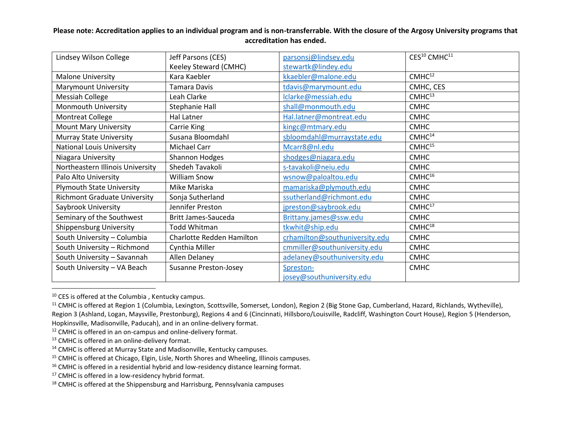| Lindsey Wilson College              | Jeff Parsons (CES)           | parsonsj@lindsey.edu           | CES <sup>10</sup> CMHC <sup>11</sup> |
|-------------------------------------|------------------------------|--------------------------------|--------------------------------------|
|                                     | Keeley Steward (CMHC)        | stewartk@lindey.edu            |                                      |
| <b>Malone University</b>            | Kara Kaebler                 | kkaebler@malone.edu            | CMHC <sup>12</sup>                   |
| <b>Marymount University</b>         | Tamara Davis                 | tdavis@marymount.edu           | CMHC, CES                            |
| <b>Messiah College</b>              | Leah Clarke                  | Iclarke@messiah.edu            | CMHC <sup>13</sup>                   |
| Monmouth University                 | Stephanie Hall               | shall@monmouth.edu             | <b>CMHC</b>                          |
| <b>Montreat College</b>             | Hal Latner                   | Hal.latner@montreat.edu        | <b>CMHC</b>                          |
| <b>Mount Mary University</b>        | Carrie King                  | kingc@mtmary.edu               | <b>CMHC</b>                          |
| <b>Murray State University</b>      | Susana Bloomdahl             | sbloomdahl@murraystate.edu     | CMHC <sup>14</sup>                   |
| <b>National Louis University</b>    | <b>Michael Carr</b>          | Mcarr8@nl.edu                  | CMHC <sup>15</sup>                   |
| Niagara University                  | Shannon Hodges               | shodges@niagara.edu            | <b>CMHC</b>                          |
| Northeastern Illinois University    | Shedeh Tavakoli              | s-tavakoli@neiu.edu            | <b>CMHC</b>                          |
| Palo Alto University                | <b>William Snow</b>          | wsnow@paloaltou.edu            | $CMHC^{16}$                          |
| <b>Plymouth State University</b>    | Mike Mariska                 | mamariska@plymouth.edu         | <b>CMHC</b>                          |
| <b>Richmont Graduate University</b> | Sonja Sutherland             | ssutherland@richmont.edu       | <b>CMHC</b>                          |
| Saybrook University                 | Jennifer Preston             | jpreston@saybrook.edu          | CMHC <sup>17</sup>                   |
| Seminary of the Southwest           | Britt James-Sauceda          | Brittany.james@ssw.edu         | <b>CMHC</b>                          |
| <b>Shippensburg University</b>      | <b>Todd Whitman</b>          | tkwhit@ship.edu                | CMHC <sup>18</sup>                   |
| South University - Columbia         | Charlotte Redden Hamilton    | crhamilton@southuniversity.edu | <b>CMHC</b>                          |
| South University - Richmond         | Cynthia Miller               | cmmiller@southuniversity.edu   | <b>CMHC</b>                          |
| South University - Savannah         | Allen Delaney                | adelaney@southuniversity.edu   | <b>CMHC</b>                          |
| South University - VA Beach         | <b>Susanne Preston-Josey</b> | Spreston-                      | <b>CMHC</b>                          |
|                                     |                              | josey@southuniversity.edu      |                                      |

 $10$  CES is offered at the Columbia, Kentucky campus.

 $\overline{a}$ 

<sup>11</sup> CMHC is offered at Region 1 (Columbia, Lexington, Scottsville, Somerset, London), Region 2 (Big Stone Gap, Cumberland, Hazard, Richlands, Wytheville), Region 3 (Ashland, Logan, Maysville, Prestonburg), Regions 4 and 6 (Cincinnati, Hillsboro/Louisville, Radcliff, Washington Court House), Region 5 (Henderson, Hopkinsville, Madisonville, Paducah), and in an online-delivery format.

<sup>12</sup> CMHC is offered in an on-campus and online-delivery format.

<sup>13</sup> CMHC is offered in an online-delivery format.

<sup>14</sup> CMHC is offered at Murray State and Madisonville, Kentucky campuses.

<sup>15</sup> CMHC is offered at Chicago, Elgin, Lisle, North Shores and Wheeling, Illinois campuses.

<sup>16</sup> CMHC is offered in a residential hybrid and low-residency distance learning format.

<sup>17</sup> CMHC is offered in a low-residency hybrid format.

<sup>18</sup> CMHC is offered at the Shippensburg and Harrisburg, Pennsylvania campuses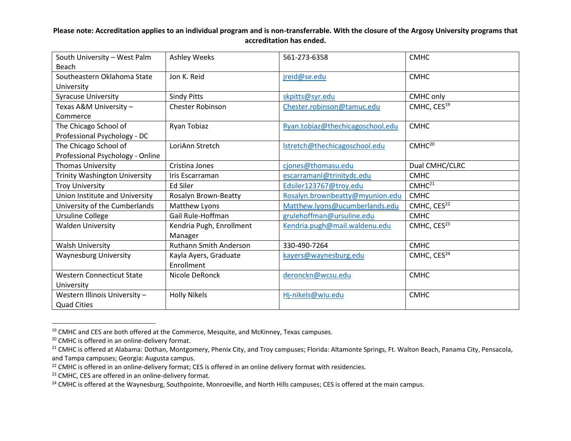| South University - West Palm         | <b>Ashley Weeks</b>           | 561-273-6358                     | <b>CMHC</b>             |
|--------------------------------------|-------------------------------|----------------------------------|-------------------------|
| Beach                                |                               |                                  |                         |
| Southeastern Oklahoma State          | Jon K. Reid                   | jreid@se.edu                     | <b>CMHC</b>             |
| University                           |                               |                                  |                         |
| <b>Syracuse University</b>           | <b>Sindy Pitts</b>            | skpitts@syr.edu                  | CMHC only               |
| Texas A&M University -               | <b>Chester Robinson</b>       | Chester.robinson@tamuc.edu       | CMHC, CES <sup>19</sup> |
| Commerce                             |                               |                                  |                         |
| The Chicago School of                | Ryan Tobiaz                   | Ryan.tobiaz@thechicagoschool.edu | <b>CMHC</b>             |
| Professional Psychology - DC         |                               |                                  |                         |
| The Chicago School of                | LoriAnn Stretch               | Istretch@thechicagoschool.edu    | CMHC <sup>20</sup>      |
| Professional Psychology - Online     |                               |                                  |                         |
| <b>Thomas University</b>             | Cristina Jones                | cjones@thomasu.edu               | Dual CMHC/CLRC          |
| <b>Trinity Washington University</b> | Iris Escarraman               | escarramanl@trinitydc.edu        | <b>CMHC</b>             |
| <b>Troy University</b>               | Ed Siler                      | Edsiler123767@troy.edu           | CMHC <sup>21</sup>      |
| Union Institute and University       | Rosalyn Brown-Beatty          | Rosalyn.brownbeatty@myunion.edu  | <b>CMHC</b>             |
| University of the Cumberlands        | Matthew Lyons                 | Matthew.lyons@ucumberlands.edu   | CMHC, CES <sup>22</sup> |
| <b>Ursuline College</b>              | Gail Rule-Hoffman             | grulehoffman@ursuline.edu        | <b>CMHC</b>             |
| <b>Walden University</b>             | Kendria Pugh, Enrollment      | Kendria.pugh@mail.waldenu.edu    | CMHC, CES <sup>23</sup> |
|                                      | Manager                       |                                  |                         |
| <b>Walsh University</b>              | <b>Ruthann Smith Anderson</b> | 330-490-7264                     | <b>CMHC</b>             |
| <b>Waynesburg University</b>         | Kayla Ayers, Graduate         | kayers@waynesburg.edu            | CMHC, CES <sup>24</sup> |
|                                      | Enrollment                    |                                  |                         |
| <b>Western Connecticut State</b>     | Nicole DeRonck                | deronckn@wcsu.edu                | <b>CMHC</b>             |
| University                           |                               |                                  |                         |
| Western Illinois University -        | <b>Holly Nikels</b>           | Hj-nikels@wiu.edu                | <b>CMHC</b>             |
| <b>Quad Cities</b>                   |                               |                                  |                         |

<sup>&</sup>lt;sup>19</sup> CMHC and CES are both offered at the Commerce, Mesquite, and McKinney, Texas campuses.

 $\overline{a}$ 

<sup>20</sup> CMHC is offered in an online-delivery format.

<sup>&</sup>lt;sup>21</sup> CMHC is offered at Alabama: Dothan, Montgomery, Phenix City, and Troy campuses; Florida: Altamonte Springs, Ft. Walton Beach, Panama City, Pensacola, and Tampa campuses; Georgia: Augusta campus.

<sup>&</sup>lt;sup>22</sup> CMHC is offered in an online-delivery format; CES is offered in an online delivery format with residencies.

<sup>&</sup>lt;sup>23</sup> CMHC, CES are offered in an online-delivery format.

<sup>&</sup>lt;sup>24</sup> CMHC is offered at the Waynesburg, Southpointe, Monroeville, and North Hills campuses; CES is offered at the main campus.